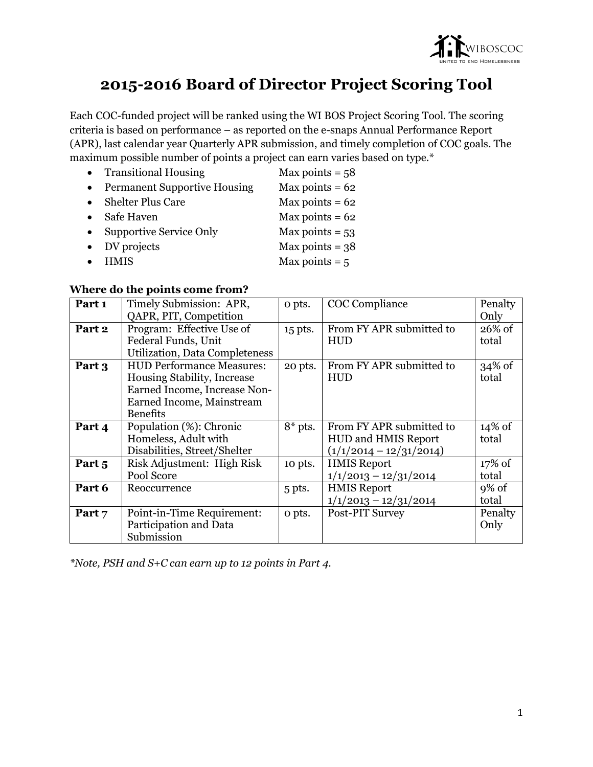

# **2015-2016 Board of Director Project Scoring Tool**

Each COC-funded project will be ranked using the WI BOS Project Scoring Tool. The scoring criteria is based on performance – as reported on the e-snaps Annual Performance Report (APR), last calendar year Quarterly APR submission, and timely completion of COC goals. The maximum possible number of points a project can earn varies based on type.\*

|           | • Transitional Housing              | Max points = $58$ |
|-----------|-------------------------------------|-------------------|
| $\bullet$ | <b>Permanent Supportive Housing</b> | Max points = $62$ |
| $\bullet$ | <b>Shelter Plus Care</b>            | Max points = $62$ |
| $\bullet$ | Safe Haven                          | Max points = $62$ |
| $\bullet$ | <b>Supportive Service Only</b>      | Max points = $53$ |
| $\bullet$ | DV projects                         | Max points = $38$ |
| $\bullet$ | <b>HMIS</b>                         | Max points $= 5$  |

#### **Where do the points come from?**

| Part 1 | Timely Submission: APR,          | o pts.    | COC Compliance             | Penalty   |
|--------|----------------------------------|-----------|----------------------------|-----------|
|        | QAPR, PIT, Competition           |           |                            | Only      |
| Part 2 | Program: Effective Use of        | 15 pts.   | From FY APR submitted to   | $26\%$ of |
|        | Federal Funds, Unit              |           | <b>HUD</b>                 | total     |
|        | Utilization, Data Completeness   |           |                            |           |
| Part 3 | <b>HUD Performance Measures:</b> | 20 pts.   | From FY APR submitted to   | $34\%$ of |
|        | Housing Stability, Increase      |           | <b>HUD</b>                 | total     |
|        | Earned Income, Increase Non-     |           |                            |           |
|        | Earned Income, Mainstream        |           |                            |           |
|        | <b>Benefits</b>                  |           |                            |           |
| Part 4 | Population (%): Chronic          | $8*$ pts. | From FY APR submitted to   | 14% of    |
|        | Homeless, Adult with             |           | <b>HUD and HMIS Report</b> | total     |
|        | Disabilities, Street/Shelter     |           | $(1/1/2014 - 12/31/2014)$  |           |
| Part 5 | Risk Adjustment: High Risk       | 10 pts.   | <b>HMIS Report</b>         | $17\%$ of |
|        | Pool Score                       |           | $1/1/2013 - 12/31/2014$    | total     |
| Part 6 | Reoccurrence                     | 5 pts.    | <b>HMIS Report</b>         | $9\%$ of  |
|        |                                  |           | $1/1/2013 - 12/31/2014$    | total     |
| Part 7 | Point-in-Time Requirement:       | o pts.    | Post-PIT Survey            | Penalty   |
|        | Participation and Data           |           |                            | Only      |
|        | Submission                       |           |                            |           |

*\*Note, PSH and S+C can earn up to 12 points in Part 4.*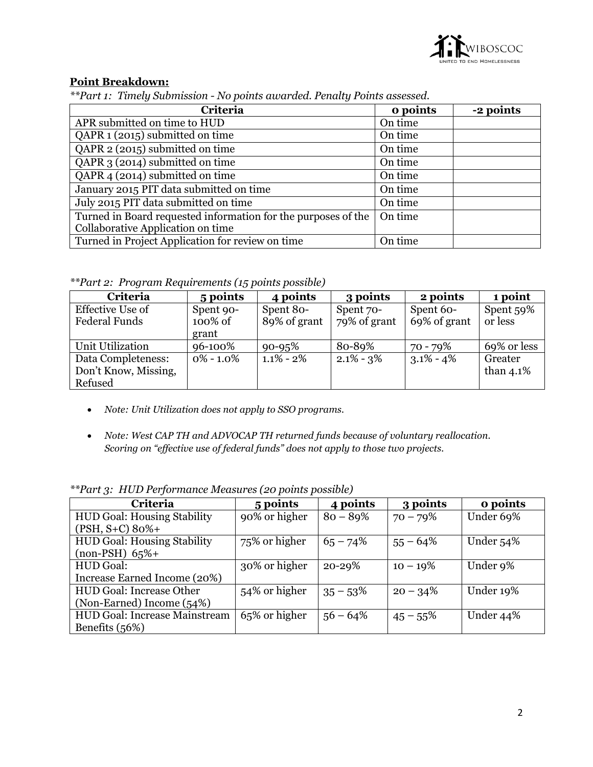

## **Point Breakdown:**

*\*\*Part 1: Timely Submission - No points awarded. Penalty Points assessed.*

| Criteria                                                      | o points | -2 points |
|---------------------------------------------------------------|----------|-----------|
| APR submitted on time to HUD                                  | On time  |           |
| QAPR 1 (2015) submitted on time                               | On time  |           |
| QAPR 2 (2015) submitted on time                               | On time  |           |
| QAPR 3 (2014) submitted on time                               | On time  |           |
| QAPR 4 (2014) submitted on time                               | On time  |           |
| January 2015 PIT data submitted on time                       | On time  |           |
| July 2015 PIT data submitted on time                          | On time  |           |
| Turned in Board requested information for the purposes of the | On time  |           |
| Collaborative Application on time                             |          |           |
| Turned in Project Application for review on time              | On time  |           |

*\*\*Part 2: Program Requirements (15 points possible)*

| Criteria                                              | 5 points                      | 4 points                  | 3 points                  | 2 points                  | 1 point                 |
|-------------------------------------------------------|-------------------------------|---------------------------|---------------------------|---------------------------|-------------------------|
| Effective Use of<br><b>Federal Funds</b>              | Spent 90-<br>100% of<br>grant | Spent 80-<br>89% of grant | Spent 70-<br>79% of grant | Spent 60-<br>69% of grant | Spent 59%<br>or less    |
| Unit Utilization                                      | 96-100%                       | $90 - 95%$                | 80-89%                    | 70 - 79%                  | 69% or less             |
| Data Completeness:<br>Don't Know, Missing,<br>Refused | $0\% - 1.0\%$                 | $1.1\%$ - 2%              | $2.1\% - 3\%$             | $3.1\% - 4\%$             | Greater<br>than $4.1\%$ |

- *Note: Unit Utilization does not apply to SSO programs.*
- *Note: West CAP TH and ADVOCAP TH returned funds because of voluntary reallocation. Scoring on "effective use of federal funds" does not apply to those two projects.*

| Criteria                             | 5 points      | 4 points    | 3 points    | o points  |
|--------------------------------------|---------------|-------------|-------------|-----------|
| <b>HUD Goal: Housing Stability</b>   | 90% or higher | $80 - 89%$  | $70 - 79%$  | Under 69% |
| $(PSH, S+C) 80\%+$                   |               |             |             |           |
| <b>HUD Goal: Housing Stability</b>   | 75% or higher | $65 - 74\%$ | $55 - 64\%$ | Under 54% |
| $(non-PSH)$ 65%+                     |               |             |             |           |
| <b>HUD</b> Goal:                     | 30% or higher | 20-29%      | $10 - 19\%$ | Under 9%  |
| Increase Earned Income (20%)         |               |             |             |           |
| <b>HUD Goal: Increase Other</b>      | 54% or higher | $35 - 53\%$ | $20 - 34\%$ | Under 19% |
| (Non-Earned) Income (54%)            |               |             |             |           |
| <b>HUD Goal: Increase Mainstream</b> | 65% or higher | $56 - 64\%$ | $45 - 55\%$ | Under 44% |
| Benefits $(56%)$                     |               |             |             |           |

*\*\*Part 3: HUD Performance Measures (20 points possible)*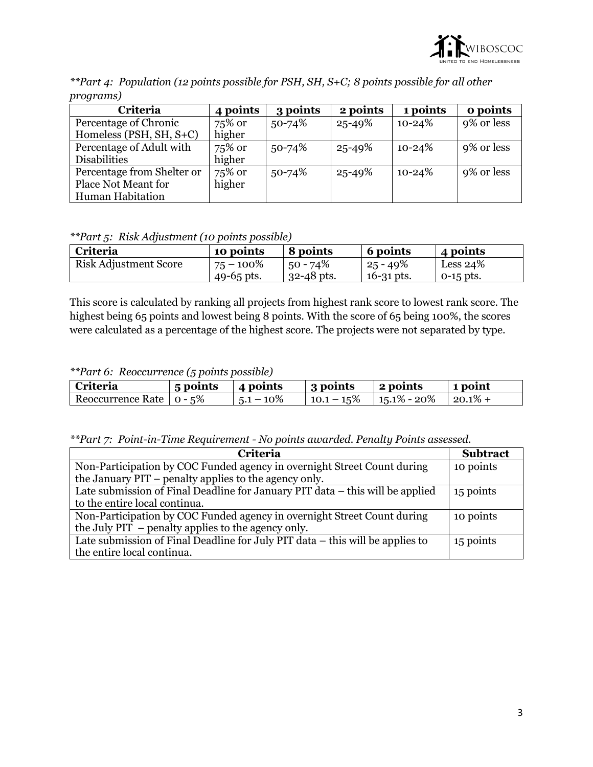

| $P \cdot P \cdot P$        |          |          |          |            |            |  |
|----------------------------|----------|----------|----------|------------|------------|--|
| Criteria                   | 4 points | 3 points | 2 points | 1 points   | o points   |  |
| Percentage of Chronic      | 75% or   | 50-74%   | 25-49%   | $10 - 24%$ | 9% or less |  |
| Homeless (PSH, $SH, S+C$ ) | higher   |          |          |            |            |  |
| Percentage of Adult with   | 75% or   | 50-74%   | 25-49%   | $10 - 24%$ | 9% or less |  |
| <b>Disabilities</b>        | higher   |          |          |            |            |  |
| Percentage from Shelter or | 75% or   | 50-74%   | 25-49%   | $10 - 24%$ | 9% or less |  |
| Place Not Meant for        | higher   |          |          |            |            |  |
| <b>Human Habitation</b>    |          |          |          |            |            |  |

*\*\*Part 4: Population (12 points possible for PSH, SH, S+C; 8 points possible for all other programs)*

*\*\*Part 5: Risk Adjustment (10 points possible)*

| <b>Criteria</b>              | 10 points    | 8 points       | 6 points     | 4 points    |
|------------------------------|--------------|----------------|--------------|-------------|
| <b>Risk Adjustment Score</b> | $75 - 100\%$ | $50 - 74\%$    | $25 - 49\%$  | Less $24%$  |
|                              | 49-65 pts.   | $32 - 48$ pts. | $16-31$ pts. | $0-15$ pts. |

This score is calculated by ranking all projects from highest rank score to lowest rank score. The highest being 65 points and lowest being 8 points. With the score of 65 being 100%, the scores were calculated as a percentage of the highest score. The projects were not separated by type.

*\*\*Part 6: Reoccurrence (5 points possible)*

| Criteria                   | .<br>5 points | 4 points     | 3 points | 2 points                                               | 1 point |
|----------------------------|---------------|--------------|----------|--------------------------------------------------------|---------|
| Reoccurrence Rate   0 - 5% |               | $5.1 - 10\%$ |          | $\vert$ 10.1 – 15% $\vert$ 15.1% – 20% $\vert$ 20.1% + |         |

*\*\*Part 7: Point-in-Time Requirement - No points awarded. Penalty Points assessed.*

| <b>Criteria</b>                                                               | <b>Subtract</b> |
|-------------------------------------------------------------------------------|-----------------|
| Non-Participation by COC Funded agency in overnight Street Count during       | 10 points       |
| the January PIT – penalty applies to the agency only.                         |                 |
| Late submission of Final Deadline for January PIT data – this will be applied | 15 points       |
| to the entire local continua.                                                 |                 |
| Non-Participation by COC Funded agency in overnight Street Count during       | 10 points       |
| the July $PIT$ – penalty applies to the agency only.                          |                 |
| Late submission of Final Deadline for July PIT data – this will be applies to | 15 points       |
| the entire local continua.                                                    |                 |